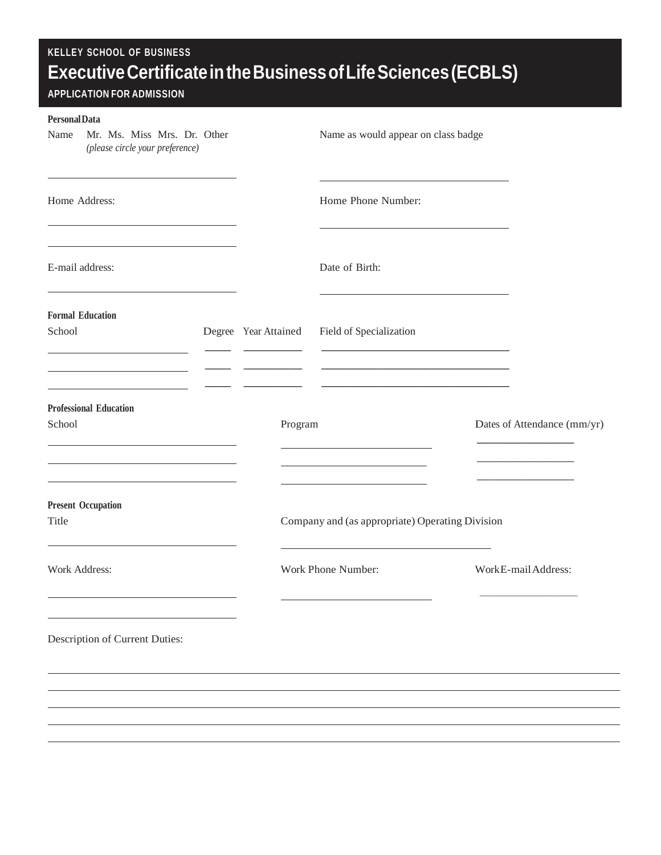| <b>Personal Data</b><br>Mr. Ms. Miss Mrs. Dr. Other<br>Name<br>(please circle your preference) |                      | Name as would appear on class badge                              |                             |
|------------------------------------------------------------------------------------------------|----------------------|------------------------------------------------------------------|-----------------------------|
| Home Address:                                                                                  |                      | Home Phone Number:                                               |                             |
| E-mail address:                                                                                |                      | Date of Birth:                                                   |                             |
| <b>Formal Education</b><br>School                                                              | Degree Year Attained | Field of Specialization                                          |                             |
| <b>Professional Education</b><br>School                                                        | Program              | <u> 1989 - Johann Stein, mars an t-Amerikaansk kommunister (</u> | Dates of Attendance (mm/yr) |
| <b>Present Occupation</b><br>Title                                                             |                      | Company and (as appropriate) Operating Division                  |                             |
| Work Address:                                                                                  |                      | Work Phone Number:                                               | WorkE-mail Address:         |
| Description of Current Duties:                                                                 |                      |                                                                  |                             |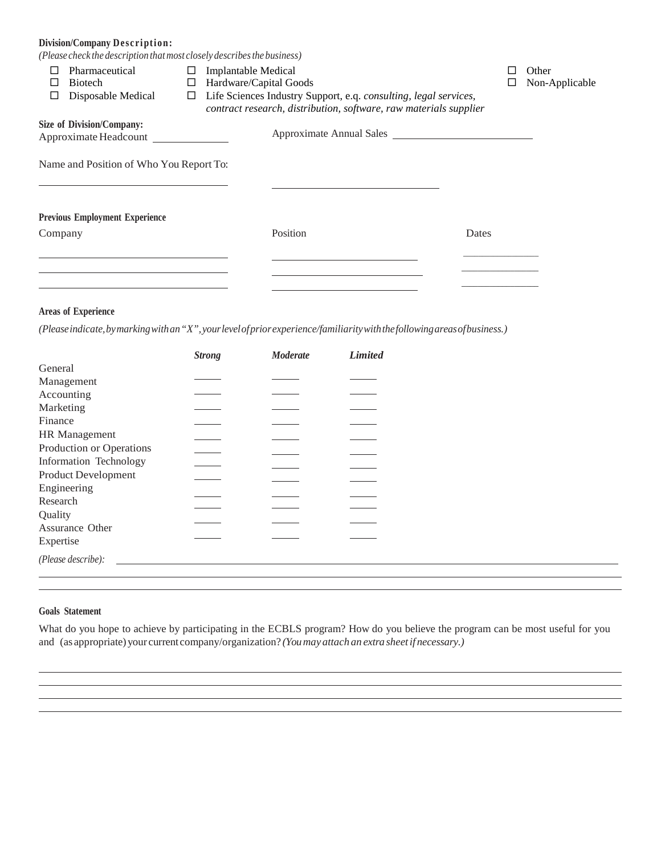# **Division/Company Description:**

*(Please check the description thatmost closely describesthe business)*

|         | Pharmaceutical                                                                              | □ | <b>Implantable Medical</b>                                        | □     | Other          |  |
|---------|---------------------------------------------------------------------------------------------|---|-------------------------------------------------------------------|-------|----------------|--|
|         | <b>Biotech</b>                                                                              | ⊔ | Hardware/Capital Goods                                            |       | Non-Applicable |  |
| ⊔       | Disposable Medical<br>Life Sciences Industry Support, e.q. consulting, legal services,<br>□ |   |                                                                   |       |                |  |
|         |                                                                                             |   | contract research, distribution, software, raw materials supplier |       |                |  |
|         | <b>Size of Division/Company:</b>                                                            |   | Approximate Annual Sales                                          |       |                |  |
|         | Approximate Headcount                                                                       |   |                                                                   |       |                |  |
|         | Name and Position of Who You Report To:                                                     |   |                                                                   |       |                |  |
|         | <b>Previous Employment Experience</b>                                                       |   |                                                                   |       |                |  |
| Company |                                                                                             |   | Position                                                          | Dates |                |  |
|         |                                                                                             |   |                                                                   |       |                |  |
|         |                                                                                             |   |                                                                   |       |                |  |
|         |                                                                                             |   |                                                                   |       |                |  |

### **Areas of Experience**

*(Please indicate, by marking with an"X",yourlevelofprior experience/familiarity with the followingareasofbusiness.)*

|                            | <b>Strong</b> | <b>Moderate</b> | <b>Limited</b> |
|----------------------------|---------------|-----------------|----------------|
| General                    |               |                 |                |
| Management                 |               |                 |                |
| Accounting                 |               |                 |                |
| Marketing                  |               |                 |                |
| Finance                    |               |                 |                |
| HR Management              |               |                 |                |
| Production or Operations   |               |                 |                |
| Information Technology     |               |                 |                |
| <b>Product Development</b> |               |                 |                |
| Engineering                |               |                 |                |
| Research                   |               |                 |                |
| Quality                    |               |                 |                |
| Assurance Other            |               |                 |                |
| Expertise                  |               |                 |                |
| (Please describe):         |               |                 |                |
|                            |               |                 |                |

### **Goals Statement**

What do you hope to achieve by participating in the ECBLS program? How do you believe the program can be most useful for you and (as appropriate) your current company/organization? *(Youmay attach an extra sheetif necessary.)*